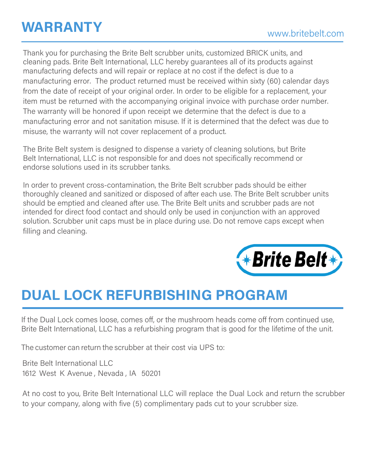Thank you for purchasing the Brite Belt scrubber units, customized BRICK units, and cleaning pads. Brite Belt International, LLC hereby guarantees all of its products against manufacturing defects and will repair or replace at no cost if the defect is due to a manufacturing error. The product returned must be received within sixty (60) calendar days from the date of receipt of your original order. In order to be eligible for a replacement, your item must be returned with the accompanying original invoice with purchase order number. The warranty will be honored if upon receipt we determine that the defect is due to a manufacturing error and not sanitation misuse. If it is determined that the defect was due to misuse, the warranty will not cover replacement of a product.

The Brite Belt system is designed to dispense a variety of cleaning solutions, but Brite Belt International, LLC is not responsible for and does not specifically recommend or endorse solutions used in its scrubber tanks.

In order to prevent cross-contamination, the Brite Belt scrubber pads should be either thoroughly cleaned and sanitized or disposed of after each use. The Brite Belt scrubber units should be emptied and cleaned after use. The Brite Belt units and scrubber pads are not intended for direct food contact and should only be used in conjunction with an approved solution. Scrubber unit caps must be in place during use. Do not remove caps except when filling and cleaning.



## **DUAL LOCK REFURBISHING PROGRAM**

If the Dual Lock comes loose, comes off, or the mushroom heads come off from continued use, Brite Belt International, LLC has a refurbishing program that is good for the lifetime of the unit.

The customer can return the scrubber at their cost via UPS to:

Brite Belt International LLC 1612 West K Avenue , Nevada , IA 50201

At no cost to you, Brite Belt International LLC will replace the Dual Lock and return the scrubber to your company, along with five (5) complimentary pads cut to your scrubber size.